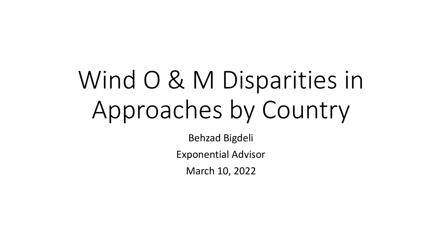# Wind O & M Disparities in Approaches by Country

Behzad Bigdeli Exponential Advisor March 10, 2022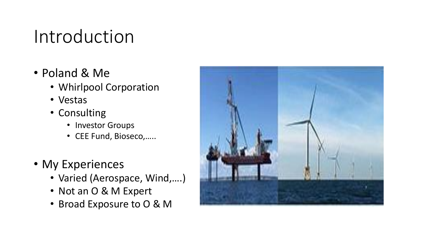#### Introduction

- Poland & Me
	- Whirlpool Corporation
	- Vestas
	- Consulting
		- Investor Groups
		- CEE Fund, Bioseco,…..
- My Experiences
	- Varied (Aerospace, Wind,….)
	- Not an O & M Expert
	- Broad Exposure to O & M

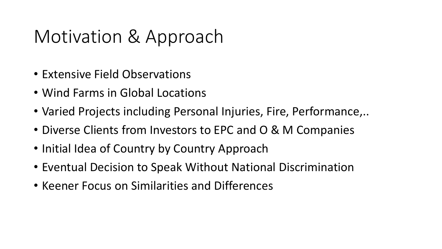#### Motivation & Approach

- Extensive Field Observations
- Wind Farms in Global Locations
- Varied Projects including Personal Injuries, Fire, Performance,..
- Diverse Clients from Investors to EPC and O & M Companies
- Initial Idea of Country by Country Approach
- Eventual Decision to Speak Without National Discrimination
- Keener Focus on Similarities and Differences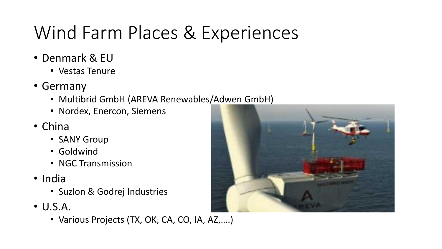# Wind Farm Places & Experiences

- Denmark & EU
	- Vestas Tenure
- Germany
	- Multibrid GmbH (AREVA Renewables/Adwen GmbH)
	- Nordex, Enercon, Siemens
- China
	- SANY Group
	- Goldwind
	- NGC Transmission
- India
	- Suzlon & Godrej Industries
- U.S.A.
	- Various Projects (TX, OK, CA, CO, IA, AZ,….)

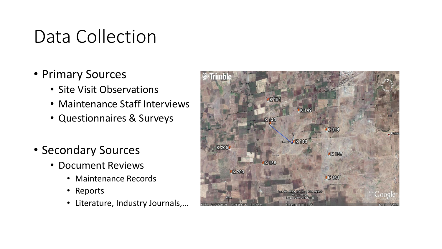#### Data Collection

- Primary Sources
	- Site Visit Observations
	- Maintenance Staff Interviews
	- Questionnaires & Surveys
- Secondary Sources
	- Document Reviews
		- Maintenance Records
		- Reports
		- Literature, Industry Journals,…

![](_page_4_Picture_10.jpeg)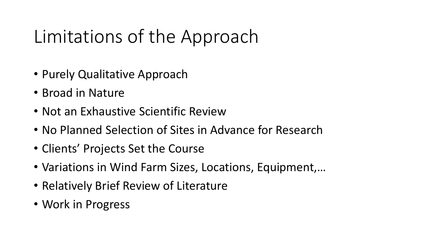# Limitations of the Approach

- Purely Qualitative Approach
- Broad in Nature
- Not an Exhaustive Scientific Review
- No Planned Selection of Sites in Advance for Research
- Clients' Projects Set the Course
- Variations in Wind Farm Sizes, Locations, Equipment,…
- Relatively Brief Review of Literature
- Work in Progress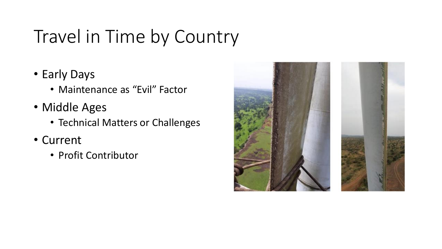# Travel in Time by Country

- Early Days
	- Maintenance as "Evil" Factor
- Middle Ages
	- Technical Matters or Challenges
- Current
	- Profit Contributor

![](_page_6_Picture_7.jpeg)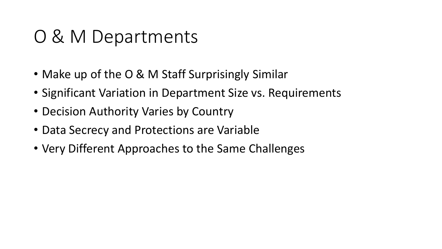#### O & M Departments

- Make up of the O & M Staff Surprisingly Similar
- Significant Variation in Department Size vs. Requirements
- Decision Authority Varies by Country
- Data Secrecy and Protections are Variable
- Very Different Approaches to the Same Challenges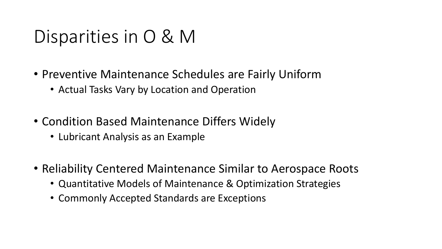#### Disparities in O & M

- Preventive Maintenance Schedules are Fairly Uniform
	- Actual Tasks Vary by Location and Operation
- Condition Based Maintenance Differs Widely
	- Lubricant Analysis as an Example
- Reliability Centered Maintenance Similar to Aerospace Roots
	- Quantitative Models of Maintenance & Optimization Strategies
	- Commonly Accepted Standards are Exceptions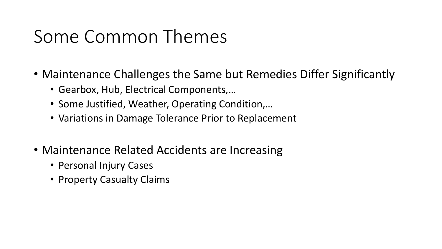#### Some Common Themes

- Maintenance Challenges the Same but Remedies Differ Significantly
	- Gearbox, Hub, Electrical Components,…
	- Some Justified, Weather, Operating Condition,…
	- Variations in Damage Tolerance Prior to Replacement
- Maintenance Related Accidents are Increasing
	- Personal Injury Cases
	- Property Casualty Claims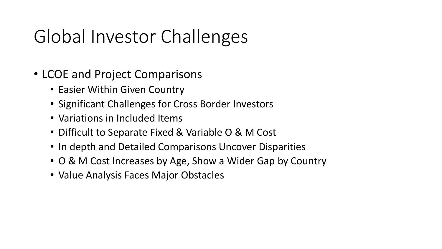# Global Investor Challenges

- LCOE and Project Comparisons
	- Easier Within Given Country
	- Significant Challenges for Cross Border Investors
	- Variations in Included Items
	- Difficult to Separate Fixed & Variable O & M Cost
	- In depth and Detailed Comparisons Uncover Disparities
	- O & M Cost Increases by Age, Show a Wider Gap by Country
	- Value Analysis Faces Major Obstacles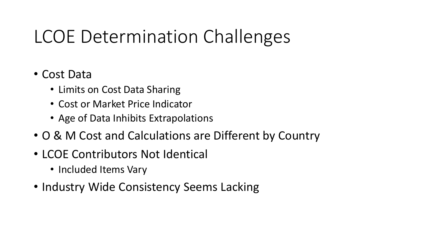### LCOE Determination Challenges

#### • Cost Data

- Limits on Cost Data Sharing
- Cost or Market Price Indicator
- Age of Data Inhibits Extrapolations
- O & M Cost and Calculations are Different by Country
- LCOE Contributors Not Identical
	- Included Items Vary
- Industry Wide Consistency Seems Lacking